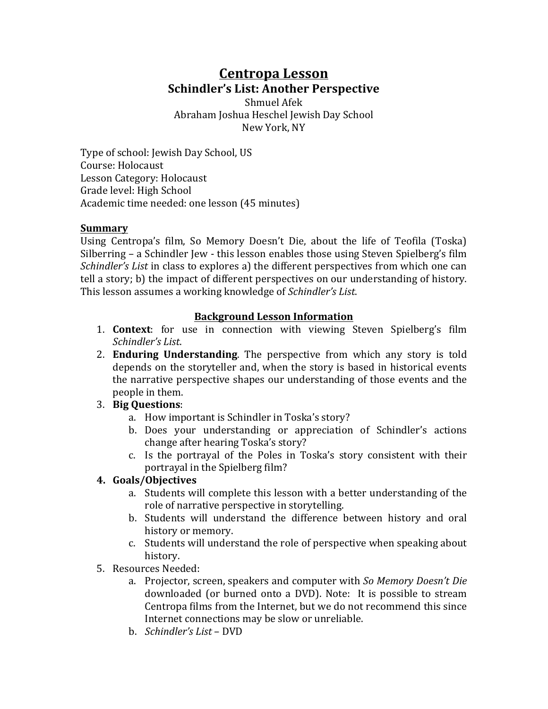# **Centropa Lesson Schindler's List: Another Perspective**

Shmuel Afek Abraham Joshua Heschel Jewish Day School New York, NY

Type of school: Jewish Day School, US Course: Holocaust Lesson Category: Holocaust Grade level: High School Academic time needed: one lesson (45 minutes)

#### **Summary**

Using Centropa's film, So Memory Doesn't Die, about the life of Teofila (Toska) Silberring  $-$  a Schindler Jew  $-$  this lesson enables those using Steven Spielberg's film *Schindler's List* in class to explores a) the different perspectives from which one can tell a story; b) the impact of different perspectives on our understanding of history. This lesson assumes a working knowledge of *Schindler's List*.

### **Background Lesson Information**

- 1. **Context**: for use in connection with viewing Steven Spielberg's film *Schindler's List*.
- 2. **Enduring Understanding**. The perspective from which any story is told depends on the storyteller and, when the story is based in historical events the narrative perspective shapes our understanding of those events and the people in them.
- 3. **Big Questions**:
	- a. How important is Schindler in Toska's story?
	- b. Does your understanding or appreciation of Schindler's actions change after hearing Toska's story?
	- c. Is the portrayal of the Poles in Toska's story consistent with their portrayal in the Spielberg film?

### **4. Goals/Objectives**

- a. Students will complete this lesson with a better understanding of the role of narrative perspective in storytelling.
- b. Students will understand the difference between history and oral history or memory.
- c. Students will understand the role of perspective when speaking about history.
- 5. Resources Needed:
	- a. Projector, screen, speakers and computer with *So Memory Doesn't Die* downloaded (or burned onto a DVD). Note: It is possible to stream Centropa films from the Internet, but we do not recommend this since Internet connections may be slow or unreliable.
	- b. *Schindler's List* DVD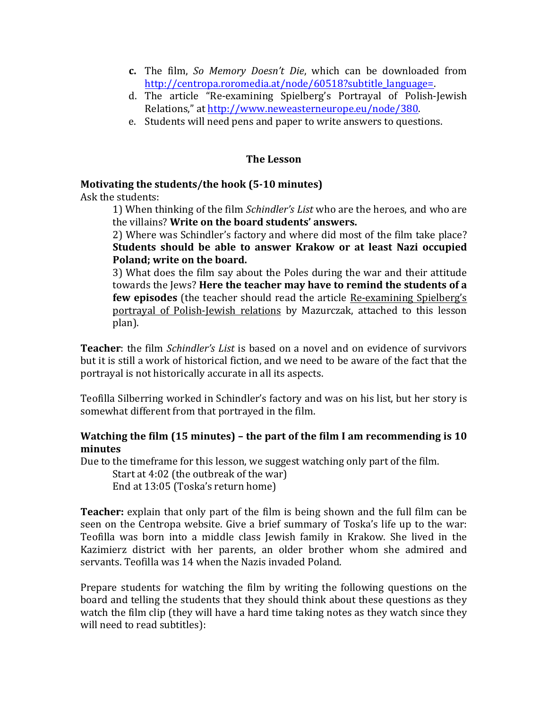- **c.** The film, *So Memory Doesn't Die*, which can be downloaded from http://centropa.roromedia.at/node/60518?subtitle\_language=.
- d. The article "Re-examining Spielberg's Portrayal of Polish-Jewish Relations," at http://www.neweasterneurope.eu/node/380.
- e. Students will need pens and paper to write answers to questions.

## **The Lesson**

## **Motivating the students/the hook (5-10 minutes)**

Ask the students:

1) When thinking of the film *Schindler's List* who are the heroes, and who are the villains? Write on the board students' answers.

2) Where was Schindler's factory and where did most of the film take place? Students should be able to answer Krakow or at least Nazi occupied Poland; write on the board.

3) What does the film say about the Poles during the war and their attitude towards the Jews? **Here the teacher may have to remind the students of a few episodes** (the teacher should read the article Re-examining Spielberg's portrayal of Polish-Jewish relations by Mazurczak, attached to this lesson plan).

**Teacher**: the film *Schindler's List* is based on a novel and on evidence of survivors but it is still a work of historical fiction, and we need to be aware of the fact that the portrayal is not historically accurate in all its aspects.

Teofilla Silberring worked in Schindler's factory and was on his list, but her story is somewhat different from that portrayed in the film.

## **Watching the film (15 minutes) – the part of the film I am recommending is 10 minutes**

Due to the timeframe for this lesson, we suggest watching only part of the film.

Start at  $4:02$  (the outbreak of the war) End at 13:05 (Toska's return home)

**Teacher:** explain that only part of the film is being shown and the full film can be seen on the Centropa website. Give a brief summary of Toska's life up to the war: Teofilla was born into a middle class Jewish family in Krakow. She lived in the Kazimierz district with her parents, an older brother whom she admired and servants. Teofilla was 14 when the Nazis invaded Poland.

Prepare students for watching the film by writing the following questions on the board and telling the students that they should think about these questions as they watch the film clip (they will have a hard time taking notes as they watch since they will need to read subtitles):